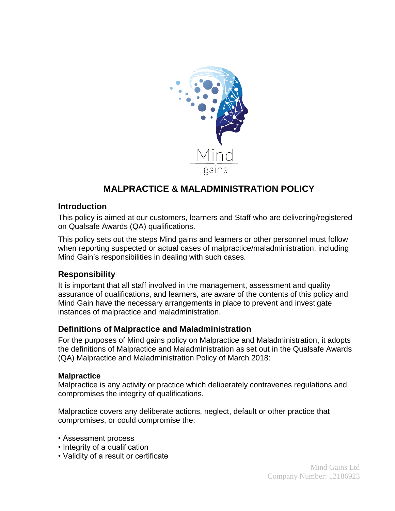

# **MALPRACTICE & MALADMINISTRATION POLICY**

## **Introduction**

This policy is aimed at our customers, learners and Staff who are delivering/registered on Qualsafe Awards (QA) qualifications.

This policy sets out the steps Mind gains and learners or other personnel must follow when reporting suspected or actual cases of malpractice/maladministration, including Mind Gain's responsibilities in dealing with such cases.

# **Responsibility**

It is important that all staff involved in the management, assessment and quality assurance of qualifications, and learners, are aware of the contents of this policy and Mind Gain have the necessary arrangements in place to prevent and investigate instances of malpractice and maladministration.

## **Definitions of Malpractice and Maladministration**

For the purposes of Mind gains policy on Malpractice and Maladministration, it adopts the definitions of Malpractice and Maladministration as set out in the Qualsafe Awards (QA) Malpractice and Maladministration Policy of March 2018:

#### **Malpractice**

Malpractice is any activity or practice which deliberately contravenes regulations and compromises the integrity of qualifications.

Malpractice covers any deliberate actions, neglect, default or other practice that compromises, or could compromise the:

- Assessment process
- Integrity of a qualification
- Validity of a result or certificate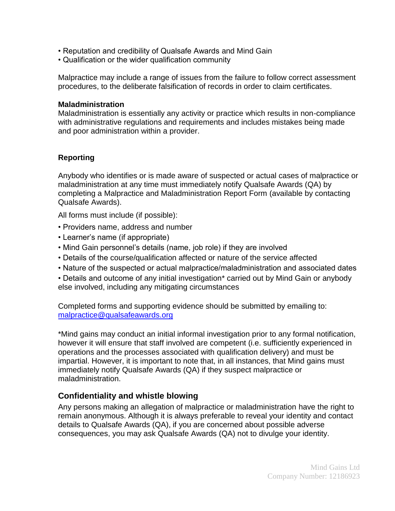- Reputation and credibility of Qualsafe Awards and Mind Gain
- Qualification or the wider qualification community

Malpractice may include a range of issues from the failure to follow correct assessment procedures, to the deliberate falsification of records in order to claim certificates.

#### **Maladministration**

Maladministration is essentially any activity or practice which results in non-compliance with administrative regulations and requirements and includes mistakes being made and poor administration within a provider.

## **Reporting**

Anybody who identifies or is made aware of suspected or actual cases of malpractice or maladministration at any time must immediately notify Qualsafe Awards (QA) by completing a Malpractice and Maladministration Report Form (available by contacting Qualsafe Awards).

All forms must include (if possible):

- Providers name, address and number
- Learner's name (if appropriate)
- Mind Gain personnel's details (name, job role) if they are involved
- Details of the course/qualification affected or nature of the service affected
- Nature of the suspected or actual malpractice/maladministration and associated dates
- Details and outcome of any initial investigation\* carried out by Mind Gain or anybody else involved, including any mitigating circumstances

Completed forms and supporting evidence should be submitted by emailing to: [malpractice@qualsafeawards.org](mailto:malpractice@qualsafeawards.org)

\*Mind gains may conduct an initial informal investigation prior to any formal notification, however it will ensure that staff involved are competent (i.e. sufficiently experienced in operations and the processes associated with qualification delivery) and must be impartial. However, it is important to note that, in all instances, that Mind gains must immediately notify Qualsafe Awards (QA) if they suspect malpractice or maladministration.

# **Confidentiality and whistle blowing**

Any persons making an allegation of malpractice or maladministration have the right to remain anonymous. Although it is always preferable to reveal your identity and contact details to Qualsafe Awards (QA), if you are concerned about possible adverse consequences, you may ask Qualsafe Awards (QA) not to divulge your identity.